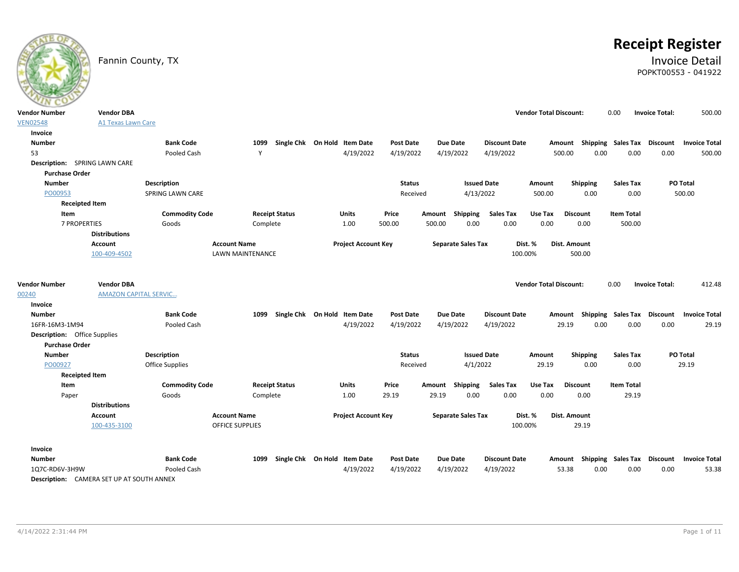# **Receipt Register**

### Fannin County, TX **Invoice Detail** POPKT00553 - 041922

| <b>Vendor Number</b>                 | <b>Vendor DBA</b>                                |                                |                         |                                   |                  |                           |                      | <b>Vendor Total Discount:</b> |                                    | 0.00               | <b>Invoice Total:</b> | 500.00               |
|--------------------------------------|--------------------------------------------------|--------------------------------|-------------------------|-----------------------------------|------------------|---------------------------|----------------------|-------------------------------|------------------------------------|--------------------|-----------------------|----------------------|
| <b>VEN02548</b>                      | <b>A1 Texas Lawn Care</b>                        |                                |                         |                                   |                  |                           |                      |                               |                                    |                    |                       |                      |
| Invoice                              |                                                  |                                |                         |                                   |                  |                           |                      |                               |                                    |                    |                       |                      |
| <b>Number</b>                        |                                                  | <b>Bank Code</b>               | 1099                    | Single Chk On Hold Item Date      | <b>Post Date</b> | <b>Due Date</b>           | <b>Discount Date</b> |                               | Amount Shipping Sales Tax Discount |                    |                       | <b>Invoice Total</b> |
| 53                                   |                                                  | Pooled Cash                    | Y                       | 4/19/2022                         | 4/19/2022        | 4/19/2022                 | 4/19/2022            |                               | 500.00<br>0.00                     | 0.00               | 0.00                  | 500.00               |
| <b>Description:</b> SPRING LAWN CARE |                                                  |                                |                         |                                   |                  |                           |                      |                               |                                    |                    |                       |                      |
| <b>Purchase Order</b>                |                                                  |                                |                         |                                   |                  |                           |                      |                               |                                    |                    |                       |                      |
| <b>Number</b>                        |                                                  | Description                    |                         |                                   | <b>Status</b>    |                           | <b>Issued Date</b>   | Amount                        | Shipping                           | <b>Sales Tax</b>   |                       | PO Total             |
| PO00953                              |                                                  | SPRING LAWN CARE               |                         |                                   | Received         |                           | 4/13/2022            | 500.00                        | 0.00                               | 0.00               |                       | 500.00               |
| <b>Receipted Item</b>                |                                                  |                                |                         |                                   |                  |                           |                      |                               |                                    |                    |                       |                      |
| Item                                 |                                                  | <b>Commodity Code</b>          | <b>Receipt Status</b>   | Units                             | Price            | Amount Shipping           | <b>Sales Tax</b>     | Use Tax                       | <b>Discount</b>                    | <b>Item Total</b>  |                       |                      |
| <b>7 PROPERTIES</b>                  |                                                  | Goods                          | Complete                | 1.00                              | 500.00           | 500.00                    | 0.00<br>0.00         | 0.00                          | 0.00                               | 500.00             |                       |                      |
|                                      | <b>Distributions</b>                             |                                |                         |                                   |                  |                           |                      |                               |                                    |                    |                       |                      |
|                                      | Account                                          |                                | <b>Account Name</b>     | <b>Project Account Key</b>        |                  | <b>Separate Sales Tax</b> |                      | Dist. %                       | <b>Dist. Amount</b>                |                    |                       |                      |
|                                      | 100-409-4502                                     |                                | <b>LAWN MAINTENANCE</b> |                                   |                  |                           |                      | 100.00%                       | 500.00                             |                    |                       |                      |
| <b>Vendor Number</b>                 | <b>Vendor DBA</b>                                |                                |                         |                                   |                  |                           |                      | <b>Vendor Total Discount:</b> |                                    | 0.00               | <b>Invoice Total:</b> | 412.48               |
| 00240                                | <b>AMAZON CAPITAL SERVIC</b>                     |                                |                         |                                   |                  |                           |                      |                               |                                    |                    |                       |                      |
| Invoice                              |                                                  |                                |                         |                                   |                  |                           |                      |                               |                                    |                    |                       |                      |
| <b>Number</b>                        |                                                  | <b>Bank Code</b>               |                         | 1099 Single Chk On Hold Item Date | Post Date        | <b>Due Date</b>           | <b>Discount Date</b> |                               | Amount Shipping Sales Tax Discount |                    |                       | <b>Invoice Total</b> |
| 16FR-16M3-1M94                       |                                                  | Pooled Cash                    |                         | 4/19/2022                         | 4/19/2022        | 4/19/2022                 | 4/19/2022            |                               | 29.19<br>0.00                      | 0.00               | 0.00                  | 29.19                |
| <b>Description:</b> Office Supplies  |                                                  |                                |                         |                                   |                  |                           |                      |                               |                                    |                    |                       |                      |
| <b>Purchase Order</b>                |                                                  |                                |                         |                                   |                  |                           |                      |                               |                                    |                    |                       |                      |
| <b>Number</b>                        |                                                  | <b>Description</b>             |                         |                                   | <b>Status</b>    |                           | <b>Issued Date</b>   | Amount                        | Shipping                           | <b>Sales Tax</b>   |                       | PO Total             |
| PO00927                              |                                                  | Office Supplies                |                         |                                   | Received         |                           | 4/1/2022             | 29.19                         | 0.00                               | 0.00               |                       | 29.19                |
| <b>Receipted Item</b>                |                                                  |                                | <b>Receipt Status</b>   |                                   |                  | Amount Shipping           | <b>Sales Tax</b>     | Use Tax                       | <b>Discount</b>                    | <b>Item Total</b>  |                       |                      |
| Item<br>Paper                        |                                                  | <b>Commodity Code</b><br>Goods | Complete                | <b>Units</b><br>1.00              | Price<br>29.19   | 29.19                     | 0.00<br>0.00         | 0.00                          | 0.00                               | 29.19              |                       |                      |
|                                      | <b>Distributions</b>                             |                                |                         |                                   |                  |                           |                      |                               |                                    |                    |                       |                      |
|                                      | Account                                          |                                | <b>Account Name</b>     | <b>Project Account Key</b>        |                  | <b>Separate Sales Tax</b> |                      | Dist. %                       | Dist. Amount                       |                    |                       |                      |
|                                      | 100-435-3100                                     |                                | OFFICE SUPPLIES         |                                   |                  |                           |                      | 100.00%                       | 29.19                              |                    |                       |                      |
|                                      |                                                  |                                |                         |                                   |                  |                           |                      |                               |                                    |                    |                       |                      |
| Invoice                              |                                                  |                                |                         |                                   |                  |                           |                      |                               |                                    |                    |                       |                      |
| <b>Number</b>                        |                                                  | <b>Bank Code</b>               | 1099                    | Single Chk On Hold Item Date      | Post Date        | <b>Due Date</b>           | <b>Discount Date</b> |                               | Amount                             | Shipping Sales Tax | <b>Discount</b>       | <b>Invoice Total</b> |
| 1Q7C-RD6V-3H9W                       |                                                  | Pooled Cash                    |                         | 4/19/2022                         | 4/19/2022        | 4/19/2022                 | 4/19/2022            |                               | 53.38<br>0.00                      | 0.00               | 0.00                  | 53.38                |
|                                      | <b>Description:</b> CAMERA SET UP AT SOUTH ANNEX |                                |                         |                                   |                  |                           |                      |                               |                                    |                    |                       |                      |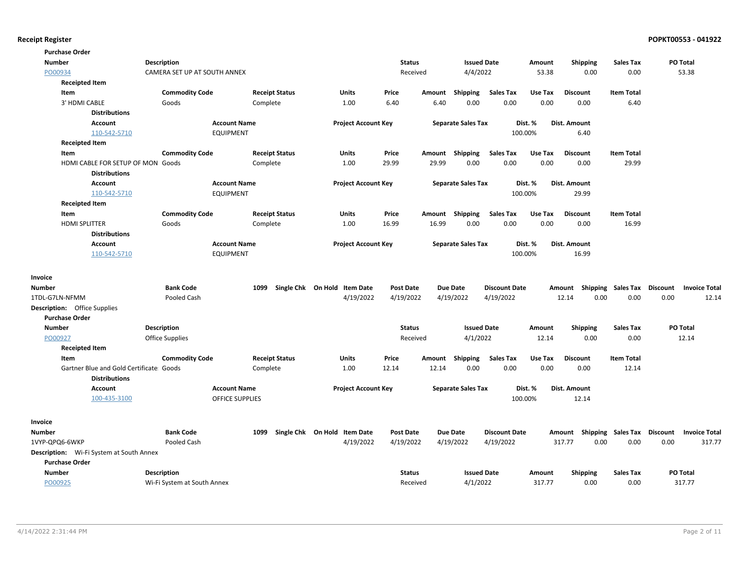| <b>Purchase Order</b>                           |                              |                        |                              |                  |        |                           |                      |         |                           |                   |                 |                      |
|-------------------------------------------------|------------------------------|------------------------|------------------------------|------------------|--------|---------------------------|----------------------|---------|---------------------------|-------------------|-----------------|----------------------|
| Number                                          | Description                  |                        |                              | <b>Status</b>    |        | <b>Issued Date</b>        |                      | Amount  | <b>Shipping</b>           | <b>Sales Tax</b>  | PO Total        |                      |
| PO00934                                         | CAMERA SET UP AT SOUTH ANNEX |                        |                              | Received         |        | 4/4/2022                  |                      | 53.38   | 0.00                      | 0.00              |                 | 53.38                |
| <b>Receipted Item</b>                           |                              |                        |                              |                  |        |                           |                      |         |                           |                   |                 |                      |
| Item                                            | <b>Commodity Code</b>        | <b>Receipt Status</b>  | Units                        | Price            | Amount | <b>Shipping</b>           | <b>Sales Tax</b>     | Use Tax | <b>Discount</b>           | <b>Item Total</b> |                 |                      |
| 3' HDMI CABLE                                   | Goods                        | Complete               | 1.00                         | 6.40             | 6.40   | 0.00                      | 0.00                 | 0.00    | 0.00                      | 6.40              |                 |                      |
| <b>Distributions</b>                            |                              |                        |                              |                  |        |                           |                      |         |                           |                   |                 |                      |
| Account                                         |                              | <b>Account Name</b>    | <b>Project Account Key</b>   |                  |        | <b>Separate Sales Tax</b> |                      | Dist. % | <b>Dist. Amount</b>       |                   |                 |                      |
| 110-542-5710                                    |                              | <b>EQUIPMENT</b>       |                              |                  |        |                           |                      | 100.00% | 6.40                      |                   |                 |                      |
| <b>Receipted Item</b>                           |                              |                        |                              |                  |        |                           |                      |         |                           |                   |                 |                      |
| Item                                            | <b>Commodity Code</b>        | <b>Receipt Status</b>  | Units                        | Price            | Amount | Shipping                  | <b>Sales Tax</b>     | Use Tax | <b>Discount</b>           | <b>Item Total</b> |                 |                      |
| HDMI CABLE FOR SETUP OF MON Goods               |                              | Complete               | 1.00                         | 29.99            | 29.99  | 0.00                      | 0.00                 | 0.00    | 0.00                      | 29.99             |                 |                      |
| <b>Distributions</b>                            |                              |                        |                              |                  |        |                           |                      |         |                           |                   |                 |                      |
| Account                                         |                              | <b>Account Name</b>    | <b>Project Account Key</b>   |                  |        | <b>Separate Sales Tax</b> |                      | Dist. % | Dist. Amount              |                   |                 |                      |
| 110-542-5710                                    |                              | <b>EQUIPMENT</b>       |                              |                  |        |                           |                      | 100.00% | 29.99                     |                   |                 |                      |
| <b>Receipted Item</b>                           |                              |                        |                              |                  |        |                           |                      |         |                           |                   |                 |                      |
| Item                                            | <b>Commodity Code</b>        | <b>Receipt Status</b>  | Units                        | Price            | Amount | Shipping                  | <b>Sales Tax</b>     | Use Tax | <b>Discount</b>           | <b>Item Total</b> |                 |                      |
| HDMI SPLITTER                                   | Goods                        | Complete               | 1.00                         | 16.99            | 16.99  | 0.00                      | 0.00                 | 0.00    | 0.00                      | 16.99             |                 |                      |
| <b>Distributions</b>                            |                              |                        |                              |                  |        |                           |                      |         |                           |                   |                 |                      |
| Account                                         |                              | <b>Account Name</b>    | <b>Project Account Key</b>   |                  |        | <b>Separate Sales Tax</b> |                      | Dist. % | Dist. Amount              |                   |                 |                      |
| 110-542-5710                                    |                              | <b>EQUIPMENT</b>       |                              |                  |        |                           |                      | 100.00% | 16.99                     |                   |                 |                      |
|                                                 |                              |                        |                              |                  |        |                           |                      |         |                           |                   |                 |                      |
| Invoice                                         |                              |                        |                              |                  |        |                           |                      |         |                           |                   |                 |                      |
| <b>Number</b>                                   | <b>Bank Code</b>             | 1099                   | Single Chk On Hold Item Date | <b>Post Date</b> |        | <b>Due Date</b>           | <b>Discount Date</b> |         | Amount Shipping Sales Tax |                   | <b>Discount</b> | <b>Invoice Total</b> |
| 1TDL-G7LN-NFMM                                  | Pooled Cash                  |                        | 4/19/2022                    | 4/19/2022        |        | 4/19/2022                 | 4/19/2022            |         | 0.00<br>12.14             | 0.00              | 0.00            | 12.14                |
| <b>Description:</b> Office Supplies             |                              |                        |                              |                  |        |                           |                      |         |                           |                   |                 |                      |
| <b>Purchase Order</b>                           |                              |                        |                              |                  |        |                           |                      |         |                           |                   |                 |                      |
| <b>Number</b>                                   | <b>Description</b>           |                        |                              | <b>Status</b>    |        | <b>Issued Date</b>        |                      | Amount  | Shipping                  | <b>Sales Tax</b>  | PO Total        |                      |
| PO00927                                         | <b>Office Supplies</b>       |                        |                              | Received         |        | 4/1/2022                  |                      | 12.14   | 0.00                      | 0.00              |                 | 12.14                |
| <b>Receipted Item</b>                           |                              |                        |                              |                  |        |                           |                      |         |                           |                   |                 |                      |
| Item                                            | <b>Commodity Code</b>        | <b>Receipt Status</b>  | <b>Units</b>                 | Price            | Amount | <b>Shipping</b>           | <b>Sales Tax</b>     | Use Tax | <b>Discount</b>           | <b>Item Total</b> |                 |                      |
| Gartner Blue and Gold Certificate: Goods        |                              | Complete               | 1.00                         | 12.14            | 12.14  | 0.00                      | 0.00                 | 0.00    | 0.00                      | 12.14             |                 |                      |
| <b>Distributions</b>                            |                              |                        |                              |                  |        |                           |                      |         |                           |                   |                 |                      |
| Account                                         |                              | <b>Account Name</b>    | <b>Project Account Key</b>   |                  |        | <b>Separate Sales Tax</b> |                      | Dist. % | <b>Dist. Amount</b>       |                   |                 |                      |
| 100-435-3100                                    |                              | <b>OFFICE SUPPLIES</b> |                              |                  |        |                           |                      | 100.00% | 12.14                     |                   |                 |                      |
|                                                 |                              |                        |                              |                  |        |                           |                      |         |                           |                   |                 |                      |
| Invoice                                         |                              |                        |                              |                  |        |                           |                      |         |                           |                   |                 |                      |
| <b>Number</b>                                   | <b>Bank Code</b>             | 1099                   | Single Chk On Hold Item Date | <b>Post Date</b> |        | <b>Due Date</b>           | <b>Discount Date</b> |         | Amount Shipping           | Sales Tax         | Discount        | <b>Invoice Total</b> |
| 1VYP-QPQ6-6WKP                                  | Pooled Cash                  |                        | 4/19/2022                    | 4/19/2022        |        | 4/19/2022                 | 4/19/2022            |         | 317.77<br>0.00            | 0.00              | 0.00            | 317.77               |
| <b>Description:</b> Wi-Fi System at South Annex |                              |                        |                              |                  |        |                           |                      |         |                           |                   |                 |                      |
| <b>Purchase Order</b>                           |                              |                        |                              |                  |        |                           |                      |         |                           |                   |                 |                      |
| <b>Number</b>                                   | <b>Description</b>           |                        |                              | <b>Status</b>    |        | <b>Issued Date</b>        |                      | Amount  | <b>Shipping</b>           | <b>Sales Tax</b>  | PO Total        |                      |
| PO00925                                         | Wi-Fi System at South Annex  |                        |                              | Received         |        | 4/1/2022                  |                      | 317.77  | 0.00                      | 0.00              |                 | 317.77               |
|                                                 |                              |                        |                              |                  |        |                           |                      |         |                           |                   |                 |                      |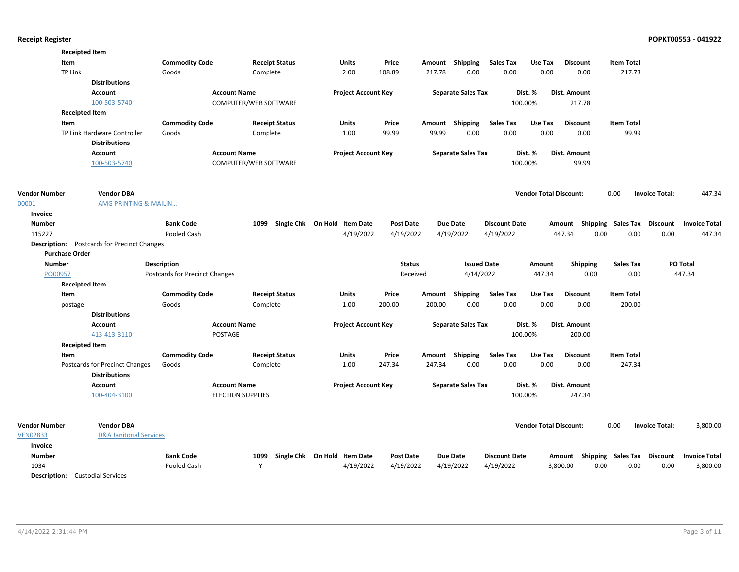|                      | <b>Receipted Item</b>                              |                                |                          |                              |                  |        |                           |                      |                               |                                    |                   |                       |                      |
|----------------------|----------------------------------------------------|--------------------------------|--------------------------|------------------------------|------------------|--------|---------------------------|----------------------|-------------------------------|------------------------------------|-------------------|-----------------------|----------------------|
|                      | Item                                               | <b>Commodity Code</b>          | <b>Receipt Status</b>    | Units                        | Price            |        | Amount Shipping           | Sales Tax            | Use Tax                       | <b>Discount</b>                    | <b>Item Total</b> |                       |                      |
|                      | <b>TP Link</b>                                     | Goods                          | Complete                 | 2.00                         | 108.89           | 217.78 | 0.00                      | 0.00                 | 0.00                          | 0.00                               | 217.78            |                       |                      |
|                      | <b>Distributions</b>                               |                                |                          |                              |                  |        |                           |                      |                               |                                    |                   |                       |                      |
|                      | Account                                            | <b>Account Name</b>            |                          | <b>Project Account Key</b>   |                  |        | <b>Separate Sales Tax</b> |                      | Dist. %                       | Dist. Amount                       |                   |                       |                      |
|                      | 100-503-5740                                       |                                | COMPUTER/WEB SOFTWARE    |                              |                  |        |                           |                      | 100.00%                       | 217.78                             |                   |                       |                      |
|                      | <b>Receipted Item</b>                              |                                |                          |                              |                  |        |                           |                      |                               |                                    |                   |                       |                      |
|                      | Item                                               | <b>Commodity Code</b>          | <b>Receipt Status</b>    | Units                        | Price            |        | Amount Shipping           | <b>Sales Tax</b>     | Use Tax                       | <b>Discount</b>                    | <b>Item Total</b> |                       |                      |
|                      | TP Link Hardware Controller                        | Goods                          | Complete                 | 1.00                         | 99.99            | 99.99  | 0.00                      | 0.00                 | 0.00                          | 0.00                               | 99.99             |                       |                      |
|                      | <b>Distributions</b>                               |                                |                          |                              |                  |        |                           |                      |                               |                                    |                   |                       |                      |
|                      | <b>Account</b>                                     | <b>Account Name</b>            |                          | <b>Project Account Key</b>   |                  |        | <b>Separate Sales Tax</b> |                      | Dist. %                       | <b>Dist. Amount</b>                |                   |                       |                      |
|                      | 100-503-5740                                       |                                | COMPUTER/WEB SOFTWARE    |                              |                  |        |                           |                      | 100.00%                       | 99.99                              |                   |                       |                      |
| <b>Vendor Number</b> | <b>Vendor DBA</b>                                  |                                |                          |                              |                  |        |                           |                      | <b>Vendor Total Discount:</b> |                                    | 0.00              | <b>Invoice Total:</b> | 447.34               |
| 00001                | <b>AMG PRINTING &amp; MAILIN</b>                   |                                |                          |                              |                  |        |                           |                      |                               |                                    |                   |                       |                      |
| Invoice              |                                                    |                                |                          |                              |                  |        |                           |                      |                               |                                    |                   |                       |                      |
| <b>Number</b>        |                                                    | <b>Bank Code</b>               | 1099                     | Single Chk On Hold Item Date | <b>Post Date</b> |        | <b>Due Date</b>           | <b>Discount Date</b> |                               | Amount Shipping Sales Tax Discount |                   |                       | <b>Invoice Total</b> |
| 115227               |                                                    | Pooled Cash                    |                          | 4/19/2022                    | 4/19/2022        |        | 4/19/2022                 | 4/19/2022            |                               | 447.34<br>0.00                     | 0.00              | 0.00                  | 447.34               |
|                      | <b>Description:</b> Postcards for Precinct Changes |                                |                          |                              |                  |        |                           |                      |                               |                                    |                   |                       |                      |
|                      | <b>Purchase Order</b>                              |                                |                          |                              |                  |        |                           |                      |                               |                                    |                   |                       |                      |
| <b>Number</b>        |                                                    | <b>Description</b>             |                          |                              | <b>Status</b>    |        | <b>Issued Date</b>        |                      | Amount                        | <b>Shipping</b>                    | Sales Tax         |                       | PO Total             |
| PO00957              |                                                    | Postcards for Precinct Changes |                          |                              | Received         |        | 4/14/2022                 |                      | 447.34                        | 0.00                               | 0.00              |                       | 447.34               |
|                      | <b>Receipted Item</b>                              |                                |                          |                              |                  |        |                           |                      |                               |                                    |                   |                       |                      |
|                      | Item                                               | <b>Commodity Code</b>          | <b>Receipt Status</b>    | Units                        | Price            |        | Amount Shipping           | <b>Sales Tax</b>     | Use Tax                       | <b>Discount</b>                    | <b>Item Total</b> |                       |                      |
|                      | postage                                            | Goods                          | Complete                 | 1.00                         | 200.00           | 200.00 | 0.00                      | 0.00                 | 0.00                          | 0.00                               | 200.00            |                       |                      |
|                      | <b>Distributions</b>                               |                                |                          |                              |                  |        |                           |                      |                               |                                    |                   |                       |                      |
|                      | <b>Account</b>                                     | <b>Account Name</b>            |                          | <b>Project Account Key</b>   |                  |        | <b>Separate Sales Tax</b> |                      | Dist. %                       | Dist. Amount                       |                   |                       |                      |
|                      | 413-413-3110                                       | <b>POSTAGE</b>                 |                          |                              |                  |        |                           |                      | 100.00%                       | 200.00                             |                   |                       |                      |
|                      | <b>Receipted Item</b>                              |                                |                          |                              |                  |        |                           |                      |                               |                                    |                   |                       |                      |
|                      | Item                                               | <b>Commodity Code</b>          | <b>Receipt Status</b>    | <b>Units</b>                 | Price            |        | Amount Shipping           | <b>Sales Tax</b>     | Use Tax                       | <b>Discount</b>                    | <b>Item Total</b> |                       |                      |
|                      | Postcards for Precinct Changes                     | Goods                          | Complete                 | 1.00                         | 247.34           | 247.34 | 0.00                      | 0.00                 | 0.00                          | 0.00                               | 247.34            |                       |                      |
|                      | <b>Distributions</b>                               |                                |                          |                              |                  |        |                           |                      |                               |                                    |                   |                       |                      |
|                      | Account                                            | <b>Account Name</b>            |                          | <b>Project Account Key</b>   |                  |        | <b>Separate Sales Tax</b> |                      | Dist. %                       | Dist. Amount                       |                   |                       |                      |
|                      | 100-404-3100                                       |                                | <b>ELECTION SUPPLIES</b> |                              |                  |        |                           |                      | 100.00%                       | 247.34                             |                   |                       |                      |
| <b>Vendor Number</b> | <b>Vendor DBA</b>                                  |                                |                          |                              |                  |        |                           |                      | <b>Vendor Total Discount:</b> |                                    | 0.00              | <b>Invoice Total:</b> | 3,800.00             |
| <b>VEN02833</b>      | <b>D&amp;A Janitorial Services</b>                 |                                |                          |                              |                  |        |                           |                      |                               |                                    |                   |                       |                      |
| Invoice              |                                                    |                                |                          |                              |                  |        |                           |                      |                               |                                    |                   |                       |                      |
| <b>Number</b>        |                                                    | <b>Bank Code</b>               | 1099                     | Single Chk On Hold Item Date | <b>Post Date</b> |        | <b>Due Date</b>           | <b>Discount Date</b> |                               | Amount Shipping Sales Tax Discount |                   |                       | <b>Invoice Total</b> |
| 1034                 |                                                    | Pooled Cash                    | Y                        | 4/19/2022                    | 4/19/2022        |        | 4/19/2022                 | 4/19/2022            |                               | 3,800.00<br>0.00                   | 0.00              | 0.00                  | 3,800.00             |
|                      |                                                    |                                |                          |                              |                  |        |                           |                      |                               |                                    |                   |                       |                      |

Description: Custodial Services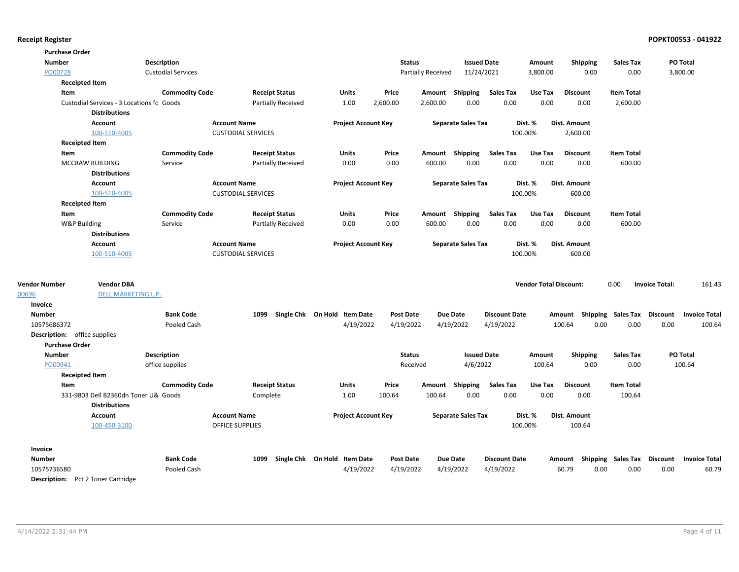| <b>Purchase Order</b>               |                                           |                           |                           |                           |                              |                  |                           |                           |                      |                               |                                    |                             |                       |                      |
|-------------------------------------|-------------------------------------------|---------------------------|---------------------------|---------------------------|------------------------------|------------------|---------------------------|---------------------------|----------------------|-------------------------------|------------------------------------|-----------------------------|-----------------------|----------------------|
| <b>Number</b>                       |                                           | Description               |                           |                           |                              |                  | <b>Status</b>             | <b>Issued Date</b>        |                      | Amount                        | Shipping                           | <b>Sales Tax</b>            | PO Total              |                      |
| PO00728                             |                                           | <b>Custodial Services</b> |                           |                           |                              |                  | <b>Partially Received</b> | 11/24/2021                |                      | 3,800.00                      | 0.00                               | 0.00                        | 3,800.00              |                      |
|                                     | <b>Receipted Item</b>                     |                           |                           |                           |                              |                  |                           |                           |                      |                               |                                    |                             |                       |                      |
| Item                                |                                           | <b>Commodity Code</b>     |                           | <b>Receipt Status</b>     | <b>Units</b>                 | Price            |                           | Amount Shipping           | Sales Tax            | Use Tax                       | <b>Discount</b>                    | <b>Item Total</b>           |                       |                      |
|                                     | Custodial Services - 3 Locations fo Goods |                           |                           | <b>Partially Received</b> | 1.00                         | 2,600.00         | 2,600.00                  | 0.00                      | 0.00                 | 0.00                          | 0.00                               | 2,600.00                    |                       |                      |
|                                     | <b>Distributions</b>                      |                           |                           |                           |                              |                  |                           |                           |                      |                               |                                    |                             |                       |                      |
|                                     | <b>Account</b>                            |                           | <b>Account Name</b>       |                           | <b>Project Account Key</b>   |                  |                           | <b>Separate Sales Tax</b> |                      | Dist. %                       | Dist. Amount                       |                             |                       |                      |
|                                     | 100-510-4005                              |                           | <b>CUSTODIAL SERVICES</b> |                           |                              |                  |                           |                           |                      | 100.00%                       | 2,600.00                           |                             |                       |                      |
|                                     | <b>Receipted Item</b>                     |                           |                           |                           |                              |                  |                           |                           |                      |                               |                                    |                             |                       |                      |
| Item                                |                                           | <b>Commodity Code</b>     |                           | <b>Receipt Status</b>     | Units                        | Price            |                           | Amount Shipping           | <b>Sales Tax</b>     | Use Tax                       | <b>Discount</b>                    | <b>Item Total</b>           |                       |                      |
|                                     | MCCRAW BUILDING                           | Service                   |                           | <b>Partially Received</b> | 0.00                         | 0.00             | 600.00                    | 0.00                      | 0.00                 | 0.00                          | 0.00                               | 600.00                      |                       |                      |
|                                     | <b>Distributions</b>                      |                           |                           |                           |                              |                  |                           |                           |                      |                               |                                    |                             |                       |                      |
|                                     | Account                                   |                           | <b>Account Name</b>       |                           | <b>Project Account Key</b>   |                  |                           | <b>Separate Sales Tax</b> |                      | Dist. %                       | Dist. Amount                       |                             |                       |                      |
|                                     | 100-510-4005                              |                           | <b>CUSTODIAL SERVICES</b> |                           |                              |                  |                           |                           |                      | 100.00%                       | 600.00                             |                             |                       |                      |
|                                     | <b>Receipted Item</b>                     |                           |                           |                           |                              |                  |                           |                           |                      |                               |                                    |                             |                       |                      |
| Item                                |                                           | <b>Commodity Code</b>     |                           | <b>Receipt Status</b>     | Units                        | Price            |                           | Amount Shipping           | <b>Sales Tax</b>     | Use Tax                       | <b>Discount</b>                    | <b>Item Total</b>           |                       |                      |
| W&P Building                        |                                           | Service                   |                           | <b>Partially Received</b> | 0.00                         | 0.00             | 600.00                    | 0.00                      | 0.00                 | 0.00                          | 0.00                               | 600.00                      |                       |                      |
|                                     | <b>Distributions</b>                      |                           |                           |                           |                              |                  |                           |                           |                      |                               |                                    |                             |                       |                      |
|                                     | Account                                   |                           | <b>Account Name</b>       |                           | <b>Project Account Key</b>   |                  |                           | <b>Separate Sales Tax</b> |                      | Dist. %                       | <b>Dist. Amount</b>                |                             |                       |                      |
|                                     | 100-510-4005                              |                           | <b>CUSTODIAL SERVICES</b> |                           |                              |                  |                           |                           |                      | 100.00%                       | 600.00                             |                             |                       |                      |
|                                     |                                           |                           |                           |                           |                              |                  |                           |                           |                      |                               |                                    |                             |                       |                      |
| <b>Vendor Number</b>                | <b>Vendor DBA</b>                         |                           |                           |                           |                              |                  |                           |                           |                      | <b>Vendor Total Discount:</b> |                                    | 0.00                        | <b>Invoice Total:</b> | 161.43               |
| 00696                               | DELL MARKETING L.P.                       |                           |                           |                           |                              |                  |                           |                           |                      |                               |                                    |                             |                       |                      |
| Invoice                             |                                           |                           |                           |                           |                              |                  |                           |                           |                      |                               |                                    |                             |                       |                      |
| <b>Number</b>                       |                                           | <b>Bank Code</b>          | 1099                      |                           | Single Chk On Hold Item Date | <b>Post Date</b> |                           | <b>Due Date</b>           | <b>Discount Date</b> |                               | Amount Shipping Sales Tax Discount |                             |                       | <b>Invoice Total</b> |
| 10575686372                         |                                           | Pooled Cash               |                           |                           | 4/19/2022                    | 4/19/2022        |                           | 4/19/2022                 | 4/19/2022            |                               | 100.64<br>0.00                     | 0.00                        | 0.00                  | 100.64               |
| <b>Description:</b> office supplies |                                           |                           |                           |                           |                              |                  |                           |                           |                      |                               |                                    |                             |                       |                      |
| <b>Purchase Order</b>               |                                           |                           |                           |                           |                              |                  |                           |                           |                      |                               |                                    |                             |                       |                      |
| <b>Number</b>                       |                                           | Description               |                           |                           |                              |                  | <b>Status</b>             | <b>Issued Date</b>        |                      | Amount                        | Shipping                           | <b>Sales Tax</b>            | PO Total              |                      |
| PO00941                             |                                           | office supplies           |                           |                           |                              |                  | Received                  | 4/6/2022                  |                      | 100.64                        | 0.00                               | 0.00                        |                       | 100.64               |
|                                     | <b>Receipted Item</b>                     |                           |                           |                           |                              |                  |                           |                           |                      |                               |                                    |                             |                       |                      |
| Item                                | 331-9803 Dell B2360dn Toner U& Goods      | <b>Commodity Code</b>     |                           | <b>Receipt Status</b>     | <b>Units</b><br>1.00         | Price<br>100.64  | 100.64                    | Amount Shipping<br>0.00   | Sales Tax<br>0.00    | Use Tax<br>0.00               | <b>Discount</b><br>0.00            | <b>Item Total</b><br>100.64 |                       |                      |
|                                     | <b>Distributions</b>                      |                           | Complete                  |                           |                              |                  |                           |                           |                      |                               |                                    |                             |                       |                      |
|                                     | Account                                   |                           | <b>Account Name</b>       |                           | <b>Project Account Key</b>   |                  |                           | <b>Separate Sales Tax</b> |                      | Dist. %                       | Dist. Amount                       |                             |                       |                      |
|                                     | 100-450-3100                              |                           | <b>OFFICE SUPPLIES</b>    |                           |                              |                  |                           |                           |                      | 100.00%                       | 100.64                             |                             |                       |                      |
| Invoice                             |                                           |                           |                           |                           |                              |                  |                           |                           |                      |                               |                                    |                             |                       |                      |
| Number                              |                                           | <b>Bank Code</b>          | 1099                      |                           | Single Chk On Hold Item Date | Post Date        |                           | <b>Due Date</b>           | <b>Discount Date</b> |                               | Amount Shipping Sales Tax Discount |                             |                       | <b>Invoice Total</b> |
| 10575736580                         |                                           | Pooled Cash               |                           |                           | 4/19/2022                    | 4/19/2022        |                           | 4/19/2022                 | 4/19/2022            |                               | 60.79<br>0.00                      | 0.00                        | 0.00                  | 60.79                |
|                                     | <b>Description:</b> Pct 2 Toner Cartridge |                           |                           |                           |                              |                  |                           |                           |                      |                               |                                    |                             |                       |                      |
|                                     |                                           |                           |                           |                           |                              |                  |                           |                           |                      |                               |                                    |                             |                       |                      |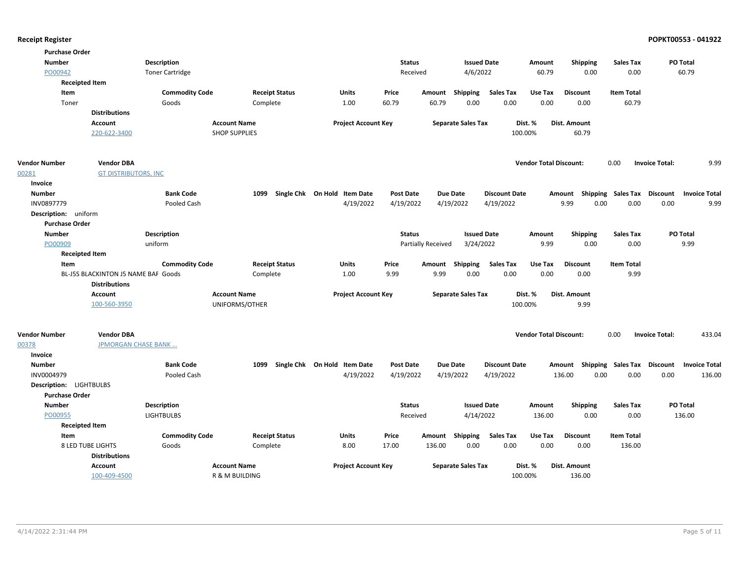|  |  | <b>Receipt Register</b> |
|--|--|-------------------------|
|--|--|-------------------------|

|                      | <b>Purchase Order</b>               |                        |                       |                              |                  |                           |                      |                               |                     |                           |                                  |
|----------------------|-------------------------------------|------------------------|-----------------------|------------------------------|------------------|---------------------------|----------------------|-------------------------------|---------------------|---------------------------|----------------------------------|
| <b>Number</b>        |                                     | <b>Description</b>     |                       |                              | <b>Status</b>    |                           | <b>Issued Date</b>   | Amount                        | <b>Shipping</b>     | <b>Sales Tax</b>          | PO Total                         |
| PO00942              |                                     | <b>Toner Cartridge</b> |                       |                              | Received         | 4/6/2022                  |                      | 60.79                         | 0.00                | 0.00                      | 60.79                            |
|                      | <b>Receipted Item</b>               |                        |                       |                              |                  |                           |                      |                               |                     |                           |                                  |
|                      | Item                                | <b>Commodity Code</b>  | <b>Receipt Status</b> | Units                        | Price            | Amount Shipping           | <b>Sales Tax</b>     | Use Tax                       | <b>Discount</b>     | <b>Item Total</b>         |                                  |
|                      | Toner                               | Goods                  | Complete              | 1.00                         | 60.79            | 0.00<br>60.79             | 0.00                 | 0.00                          | 0.00                | 60.79                     |                                  |
|                      | <b>Distributions</b>                |                        |                       |                              |                  |                           |                      |                               |                     |                           |                                  |
|                      | <b>Account</b>                      | <b>Account Name</b>    |                       | <b>Project Account Key</b>   |                  | <b>Separate Sales Tax</b> |                      | Dist. %                       | Dist. Amount        |                           |                                  |
|                      | 220-622-3400                        | <b>SHOP SUPPLIES</b>   |                       |                              |                  |                           |                      | 100.00%                       | 60.79               |                           |                                  |
| <b>Vendor Number</b> | <b>Vendor DBA</b>                   |                        |                       |                              |                  |                           |                      | <b>Vendor Total Discount:</b> |                     | 0.00                      | 9.99<br><b>Invoice Total:</b>    |
| 00281                | <b>GT DISTRIBUTORS, INC</b>         |                        |                       |                              |                  |                           |                      |                               |                     |                           |                                  |
| Invoice              |                                     |                        |                       |                              |                  |                           |                      |                               |                     |                           |                                  |
| <b>Number</b>        |                                     | <b>Bank Code</b>       | 1099                  | Single Chk On Hold Item Date | <b>Post Date</b> | <b>Due Date</b>           | <b>Discount Date</b> | Amount                        |                     | <b>Shipping Sales Tax</b> | Discount<br><b>Invoice Total</b> |
| INV0897779           |                                     | Pooled Cash            |                       | 4/19/2022                    | 4/19/2022        | 4/19/2022                 | 4/19/2022            |                               | 9.99<br>0.00        | 0.00                      | 0.00<br>9.99                     |
|                      | Description: uniform                |                        |                       |                              |                  |                           |                      |                               |                     |                           |                                  |
|                      | <b>Purchase Order</b>               |                        |                       |                              |                  |                           |                      |                               |                     |                           |                                  |
| <b>Number</b>        |                                     | <b>Description</b>     |                       |                              | <b>Status</b>    |                           | <b>Issued Date</b>   | Amount                        | <b>Shipping</b>     | <b>Sales Tax</b>          | PO Total                         |
| PO00909              |                                     | uniform                |                       |                              |                  | Partially Received        | 3/24/2022            | 9.99                          | 0.00                | 0.00                      | 9.99                             |
|                      | <b>Receipted Item</b>               |                        |                       |                              |                  |                           |                      |                               |                     |                           |                                  |
|                      | Item                                | <b>Commodity Code</b>  | <b>Receipt Status</b> | Units                        | Price            | Shipping<br>Amount        | <b>Sales Tax</b>     | Use Tax                       | <b>Discount</b>     | <b>Item Total</b>         |                                  |
|                      | BL-J5S BLACKINTON J5 NAME BAF Goods |                        | Complete              | 1.00                         | 9.99             | 9.99<br>0.00              | 0.00                 | 0.00                          | 0.00                | 9.99                      |                                  |
|                      | <b>Distributions</b>                |                        |                       |                              |                  |                           |                      |                               |                     |                           |                                  |
|                      | <b>Account</b>                      | <b>Account Name</b>    |                       | <b>Project Account Key</b>   |                  | <b>Separate Sales Tax</b> |                      | Dist. %                       | <b>Dist. Amount</b> |                           |                                  |
|                      | 100-560-3950                        |                        | UNIFORMS/OTHER        |                              |                  |                           |                      | 100.00%                       | 9.99                |                           |                                  |
| <b>Vendor Number</b> | <b>Vendor DBA</b>                   |                        |                       |                              |                  |                           |                      | <b>Vendor Total Discount:</b> |                     | 0.00                      | 433.04<br><b>Invoice Total:</b>  |
| 00378                | <b>JPMORGAN CHASE BANK</b>          |                        |                       |                              |                  |                           |                      |                               |                     |                           |                                  |
| Invoice              |                                     |                        |                       |                              |                  |                           |                      |                               |                     |                           |                                  |
| <b>Number</b>        |                                     | <b>Bank Code</b>       | 1099                  | Single Chk On Hold Item Date | <b>Post Date</b> | <b>Due Date</b>           | <b>Discount Date</b> | Amount                        |                     | <b>Shipping Sales Tax</b> | Discount<br><b>Invoice Total</b> |
| INV0004979           |                                     | Pooled Cash            |                       | 4/19/2022                    | 4/19/2022        | 4/19/2022                 | 4/19/2022            |                               | 136.00<br>0.00      | 0.00                      | 0.00<br>136.00                   |
|                      | Description: LIGHTBULBS             |                        |                       |                              |                  |                           |                      |                               |                     |                           |                                  |
|                      | <b>Purchase Order</b>               |                        |                       |                              |                  |                           |                      |                               |                     |                           |                                  |
| <b>Number</b>        |                                     | <b>Description</b>     |                       |                              | <b>Status</b>    |                           | <b>Issued Date</b>   | Amount                        | Shipping            | <b>Sales Tax</b>          | PO Total                         |
| PO00955              |                                     | <b>LIGHTBULBS</b>      |                       |                              | Received         |                           | 4/14/2022            | 136.00                        | 0.00                | 0.00                      | 136.00                           |
|                      | <b>Receipted Item</b>               |                        |                       |                              |                  |                           |                      |                               |                     |                           |                                  |
|                      | Item                                | <b>Commodity Code</b>  | <b>Receipt Status</b> | <b>Units</b>                 | Price            | Amount Shipping           | <b>Sales Tax</b>     | Use Tax                       | <b>Discount</b>     | <b>Item Total</b>         |                                  |
|                      | <b>8 LED TUBE LIGHTS</b>            | Goods                  | Complete              | 8.00                         | 17.00            | 136.00<br>0.00            | 0.00                 | 0.00                          | 0.00                | 136.00                    |                                  |
|                      | <b>Distributions</b>                |                        |                       |                              |                  |                           |                      |                               |                     |                           |                                  |
|                      | <b>Account</b>                      | <b>Account Name</b>    |                       | <b>Project Account Key</b>   |                  | <b>Separate Sales Tax</b> |                      | Dist. %                       | Dist. Amount        |                           |                                  |
|                      | 100-409-4500                        |                        | R & M BUILDING        |                              |                  |                           |                      | 100.00%                       | 136.00              |                           |                                  |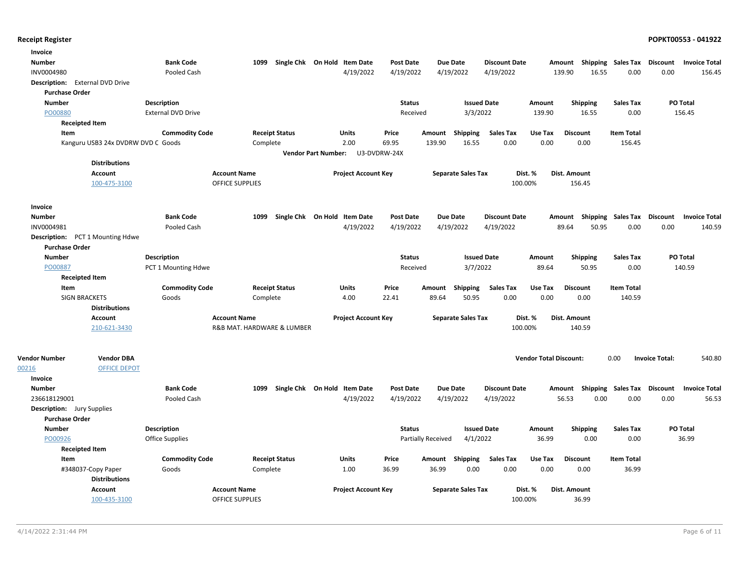| Invoice                           |                                    |                            |                                  |                                     |                                |                                      |                                  |
|-----------------------------------|------------------------------------|----------------------------|----------------------------------|-------------------------------------|--------------------------------|--------------------------------------|----------------------------------|
| Number                            | <b>Bank Code</b>                   | 1099                       | Single Chk On Hold Item Date     | <b>Due Date</b><br>Post Date        | <b>Discount Date</b>           | Amount Shipping Sales Tax            | Discount<br><b>Invoice Total</b> |
| INV0004980                        | Pooled Cash                        |                            | 4/19/2022                        | 4/19/2022<br>4/19/2022              | 4/19/2022<br>139.90            | 16.55<br>0.00                        | 0.00<br>156.45                   |
| Description: External DVD Drive   |                                    |                            |                                  |                                     |                                |                                      |                                  |
| <b>Purchase Order</b>             |                                    |                            |                                  |                                     |                                |                                      |                                  |
| <b>Number</b>                     | <b>Description</b>                 |                            |                                  | <b>Status</b><br><b>Issued Date</b> | Amount                         | <b>Sales Tax</b><br><b>Shipping</b>  | PO Total                         |
| PO00880                           | <b>External DVD Drive</b>          |                            |                                  | 3/3/2022<br>Received                | 139.90                         | 16.55<br>0.00                        | 156.45                           |
| <b>Receipted Item</b>             |                                    |                            |                                  |                                     |                                |                                      |                                  |
| Item                              | <b>Commodity Code</b>              | <b>Receipt Status</b>      | Units<br>Price                   | Amount<br>Shipping                  | <b>Sales Tax</b><br>Use Tax    | <b>Item Total</b><br><b>Discount</b> |                                  |
|                                   | Kanguru USB3 24x DVDRW DVD C Goods | Complete                   | 2.00<br>69.95                    | 139.90<br>16.55                     | 0.00<br>0.00                   | 0.00<br>156.45                       |                                  |
|                                   |                                    |                            | Vendor Part Number: U3-DVDRW-24X |                                     |                                |                                      |                                  |
| <b>Distributions</b>              |                                    |                            |                                  |                                     |                                |                                      |                                  |
| <b>Account</b>                    |                                    | <b>Account Name</b>        | <b>Project Account Key</b>       | <b>Separate Sales Tax</b>           | Dist. %<br>Dist. Amount        |                                      |                                  |
| 100-475-3100                      |                                    | <b>OFFICE SUPPLIES</b>     |                                  |                                     | 100.00%                        | 156.45                               |                                  |
| Invoice                           |                                    |                            |                                  |                                     |                                |                                      |                                  |
| <b>Number</b>                     | <b>Bank Code</b>                   | 1099                       | Single Chk On Hold Item Date     | <b>Post Date</b><br><b>Due Date</b> | <b>Discount Date</b>           | Amount Shipping Sales Tax Discount   | <b>Invoice Total</b>             |
| INV0004981                        | Pooled Cash                        |                            | 4/19/2022                        | 4/19/2022<br>4/19/2022              | 4/19/2022<br>89.64             | 0.00<br>50.95                        | 0.00<br>140.59                   |
| Description: PCT 1 Mounting Hdwe  |                                    |                            |                                  |                                     |                                |                                      |                                  |
| <b>Purchase Order</b>             |                                    |                            |                                  |                                     |                                |                                      |                                  |
| <b>Number</b>                     | Description                        |                            |                                  | <b>Status</b><br><b>Issued Date</b> | Amount                         | <b>Sales Tax</b><br><b>Shipping</b>  | PO Total                         |
| PO00887                           | PCT 1 Mounting Hdwe                |                            |                                  | 3/7/2022<br>Received                | 89.64                          | 50.95<br>0.00                        | 140.59                           |
| <b>Receipted Item</b>             |                                    |                            |                                  |                                     |                                |                                      |                                  |
| Item                              | <b>Commodity Code</b>              | <b>Receipt Status</b>      | Units<br>Price                   | Amount Shipping                     | <b>Sales Tax</b><br>Use Tax    | <b>Discount</b><br><b>Item Total</b> |                                  |
| <b>SIGN BRACKETS</b>              | Goods                              | Complete                   | 4.00<br>22.41                    | 89.64<br>50.95                      | 0.00<br>0.00                   | 0.00<br>140.59                       |                                  |
| <b>Distributions</b>              |                                    |                            |                                  |                                     |                                |                                      |                                  |
| <b>Account</b>                    |                                    | <b>Account Name</b>        | <b>Project Account Key</b>       | <b>Separate Sales Tax</b>           | Dist. %<br>Dist. Amount        |                                      |                                  |
| 210-621-3430                      |                                    | R&B MAT. HARDWARE & LUMBER |                                  |                                     | 100.00%                        | 140.59                               |                                  |
| <b>Vendor Number</b>              | <b>Vendor DBA</b>                  |                            |                                  |                                     | <b>Vendor Total Discount:</b>  | 0.00                                 | <b>Invoice Total:</b><br>540.80  |
| 00216                             | <b>OFFICE DEPOT</b>                |                            |                                  |                                     |                                |                                      |                                  |
| Invoice                           |                                    |                            |                                  |                                     |                                |                                      |                                  |
| <b>Number</b>                     | <b>Bank Code</b>                   | 1099                       | Single Chk On Hold Item Date     | <b>Post Date</b><br>Due Date        | <b>Discount Date</b><br>Amount | <b>Shipping Sales Tax</b>            | Discount<br><b>Invoice Total</b> |
| 236618129001                      | <b>Pooled Cash</b>                 |                            | 4/19/2022                        | 4/19/2022<br>4/19/2022              | 4/19/2022<br>56.53             | 0.00<br>0.00                         | 0.00<br>56.53                    |
| <b>Description:</b> Jury Supplies |                                    |                            |                                  |                                     |                                |                                      |                                  |
| <b>Purchase Order</b>             |                                    |                            |                                  |                                     |                                |                                      |                                  |
| <b>Number</b>                     | Description                        |                            |                                  | <b>Status</b><br><b>Issued Date</b> | Amount                         | Shipping<br><b>Sales Tax</b>         | PO Total                         |
| PO00926                           | <b>Office Supplies</b>             |                            |                                  | 4/1/2022<br>Partially Received      | 36.99                          | 0.00<br>0.00                         | 36.99                            |
| <b>Receipted Item</b>             |                                    |                            |                                  |                                     |                                |                                      |                                  |
| Item                              | <b>Commodity Code</b>              | <b>Receipt Status</b>      | Units<br>Price                   | Amount Shipping                     | <b>Sales Tax</b><br>Use Tax    | <b>Discount</b><br><b>Item Total</b> |                                  |
| #348037-Copy Paper                | Goods                              | Complete                   | 1.00<br>36.99                    | 0.00<br>36.99                       | 0.00<br>0.00                   | 0.00<br>36.99                        |                                  |
| <b>Distributions</b>              |                                    |                            |                                  |                                     |                                |                                      |                                  |
| <b>Account</b>                    |                                    | <b>Account Name</b>        | <b>Project Account Key</b>       | <b>Separate Sales Tax</b>           | Dist. %<br>Dist. Amount        |                                      |                                  |
| 100-435-3100                      |                                    | <b>OFFICE SUPPLIES</b>     |                                  |                                     | 100.00%                        | 36.99                                |                                  |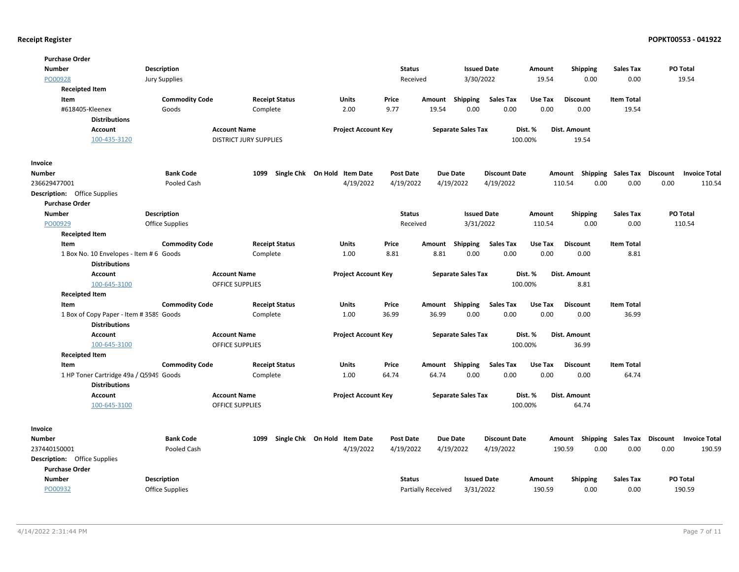| <b>Purchase Order</b>        |                                                                |                       |                               |                       |                                   |                            |                  |                           |                           |                      |         |                    |                           |          |                      |
|------------------------------|----------------------------------------------------------------|-----------------------|-------------------------------|-----------------------|-----------------------------------|----------------------------|------------------|---------------------------|---------------------------|----------------------|---------|--------------------|---------------------------|----------|----------------------|
| <b>Number</b>                |                                                                | <b>Description</b>    |                               |                       |                                   |                            | <b>Status</b>    |                           | <b>Issued Date</b>        |                      | Amount  | Shipping           | <b>Sales Tax</b>          | PO Total |                      |
| PO00928                      |                                                                | <b>Jury Supplies</b>  |                               |                       |                                   |                            | Received         |                           | 3/30/2022                 |                      | 19.54   | 0.00               | 0.00                      |          | 19.54                |
| <b>Receipted Item</b>        |                                                                |                       |                               |                       |                                   |                            |                  |                           |                           |                      |         |                    |                           |          |                      |
| Item                         |                                                                | <b>Commodity Code</b> |                               | <b>Receipt Status</b> | Units                             |                            | Price            |                           | Amount Shipping           | <b>Sales Tax</b>     | Use Tax | <b>Discount</b>    | <b>Item Total</b>         |          |                      |
| #618405-Kleenex              |                                                                | Goods                 | Complete                      |                       | 2.00                              |                            | 9.77             | 19.54                     | 0.00                      | 0.00                 | 0.00    | 0.00               | 19.54                     |          |                      |
|                              | <b>Distributions</b>                                           |                       |                               |                       |                                   |                            |                  |                           |                           |                      |         |                    |                           |          |                      |
|                              | <b>Account</b>                                                 |                       | <b>Account Name</b>           |                       |                                   | <b>Project Account Key</b> |                  |                           | <b>Separate Sales Tax</b> |                      | Dist. % | Dist. Amount       |                           |          |                      |
|                              | 100-435-3120                                                   |                       | <b>DISTRICT JURY SUPPLIES</b> |                       |                                   |                            |                  |                           |                           | 100.00%              |         | 19.54              |                           |          |                      |
| Invoice                      |                                                                |                       |                               |                       |                                   |                            |                  |                           |                           |                      |         |                    |                           |          |                      |
| Number                       |                                                                | <b>Bank Code</b>      |                               |                       | 1099 Single Chk On Hold Item Date |                            | <b>Post Date</b> |                           | <b>Due Date</b>           | <b>Discount Date</b> |         | Shipping<br>Amount | Sales Tax                 | Discount | <b>Invoice Total</b> |
| 236629477001                 |                                                                | Pooled Cash           |                               |                       |                                   | 4/19/2022                  | 4/19/2022        |                           | 4/19/2022                 | 4/19/2022            |         | 110.54<br>0.00     | 0.00                      | 0.00     | 110.54               |
| Description: Office Supplies |                                                                |                       |                               |                       |                                   |                            |                  |                           |                           |                      |         |                    |                           |          |                      |
| <b>Purchase Order</b>        |                                                                |                       |                               |                       |                                   |                            |                  |                           |                           |                      |         |                    |                           |          |                      |
| <b>Number</b>                |                                                                | <b>Description</b>    |                               |                       |                                   |                            | <b>Status</b>    |                           | <b>Issued Date</b>        |                      | Amount  | <b>Shipping</b>    | <b>Sales Tax</b>          | PO Total |                      |
| PO00929                      |                                                                | Office Supplies       |                               |                       |                                   |                            | Received         |                           | 3/31/2022                 |                      | 110.54  | 0.00               | 0.00                      |          | 110.54               |
| <b>Receipted Item</b>        |                                                                |                       |                               |                       |                                   |                            |                  |                           |                           |                      |         |                    |                           |          |                      |
| Item                         |                                                                | <b>Commodity Code</b> |                               | <b>Receipt Status</b> | Units                             |                            | Price            | Amount                    | Shipping                  | <b>Sales Tax</b>     | Use Tax | <b>Discount</b>    | <b>Item Total</b>         |          |                      |
|                              | 1 Box No. 10 Envelopes - Item # 6 Goods                        |                       | Complete                      |                       | 1.00                              |                            | 8.81             | 8.81                      | 0.00                      | 0.00                 | 0.00    | 0.00               | 8.81                      |          |                      |
|                              | <b>Distributions</b>                                           |                       |                               |                       |                                   |                            |                  |                           |                           |                      |         |                    |                           |          |                      |
|                              | <b>Account</b>                                                 |                       | <b>Account Name</b>           |                       |                                   | <b>Project Account Key</b> |                  |                           | <b>Separate Sales Tax</b> |                      | Dist. % | Dist. Amount       |                           |          |                      |
|                              | 100-645-3100                                                   |                       | <b>OFFICE SUPPLIES</b>        |                       |                                   |                            |                  |                           |                           | 100.00%              |         | 8.81               |                           |          |                      |
| <b>Receipted Item</b>        |                                                                |                       |                               |                       |                                   |                            |                  |                           |                           |                      |         |                    |                           |          |                      |
| Item                         |                                                                | <b>Commodity Code</b> |                               | <b>Receipt Status</b> | Units                             |                            | Price            | Amount                    | <b>Shipping</b>           | <b>Sales Tax</b>     | Use Tax | <b>Discount</b>    | <b>Item Total</b>         |          |                      |
|                              | 1 Box of Copy Paper - Item # 3589 Goods                        |                       | Complete                      |                       | 1.00                              |                            | 36.99            | 36.99                     | 0.00                      | 0.00                 | 0.00    | 0.00               | 36.99                     |          |                      |
|                              | <b>Distributions</b>                                           |                       |                               |                       |                                   |                            |                  |                           |                           |                      |         |                    |                           |          |                      |
|                              | <b>Account</b>                                                 |                       | <b>Account Name</b>           |                       |                                   | <b>Project Account Key</b> |                  |                           | <b>Separate Sales Tax</b> |                      | Dist. % | Dist. Amount       |                           |          |                      |
|                              | 100-645-3100                                                   |                       | <b>OFFICE SUPPLIES</b>        |                       |                                   |                            |                  |                           |                           | 100.00%              |         | 36.99              |                           |          |                      |
| <b>Receipted Item</b>        |                                                                |                       |                               |                       |                                   |                            |                  |                           |                           |                      |         |                    |                           |          |                      |
| Item                         |                                                                | <b>Commodity Code</b> |                               | <b>Receipt Status</b> | Units                             |                            | Price            |                           | Amount Shipping           | <b>Sales Tax</b>     | Use Tax | <b>Discount</b>    | <b>Item Total</b>         |          |                      |
|                              | 1 HP Toner Cartridge 49a / Q5949 Goods<br><b>Distributions</b> |                       | Complete                      |                       | 1.00                              |                            | 64.74            | 64.74                     | 0.00                      | 0.00                 | 0.00    | 0.00               | 64.74                     |          |                      |
|                              | Account                                                        |                       | <b>Account Name</b>           |                       |                                   | <b>Project Account Key</b> |                  |                           | <b>Separate Sales Tax</b> |                      | Dist. % | Dist. Amount       |                           |          |                      |
|                              | 100-645-3100                                                   |                       | <b>OFFICE SUPPLIES</b>        |                       |                                   |                            |                  |                           |                           | 100.00%              |         | 64.74              |                           |          |                      |
| Invoice                      |                                                                |                       |                               |                       |                                   |                            |                  |                           |                           |                      |         |                    |                           |          |                      |
| Number                       |                                                                | <b>Bank Code</b>      |                               |                       | 1099 Single Chk On Hold Item Date |                            | <b>Post Date</b> |                           | <b>Due Date</b>           | <b>Discount Date</b> |         | Amount Shipping    | <b>Sales Tax Discount</b> |          | <b>Invoice Total</b> |
| 237440150001                 |                                                                | Pooled Cash           |                               |                       |                                   | 4/19/2022                  | 4/19/2022        |                           | 4/19/2022                 | 4/19/2022            |         | 190.59<br>0.00     | 0.00                      | 0.00     | 190.59               |
| Description: Office Supplies |                                                                |                       |                               |                       |                                   |                            |                  |                           |                           |                      |         |                    |                           |          |                      |
| <b>Purchase Order</b>        |                                                                |                       |                               |                       |                                   |                            |                  |                           |                           |                      |         |                    |                           |          |                      |
| <b>Number</b>                |                                                                | <b>Description</b>    |                               |                       |                                   |                            | <b>Status</b>    |                           | <b>Issued Date</b>        |                      | Amount  | Shipping           | <b>Sales Tax</b>          | PO Total |                      |
| PO00932                      |                                                                | Office Supplies       |                               |                       |                                   |                            |                  | <b>Partially Received</b> | 3/31/2022                 |                      | 190.59  | 0.00               | 0.00                      |          | 190.59               |
|                              |                                                                |                       |                               |                       |                                   |                            |                  |                           |                           |                      |         |                    |                           |          |                      |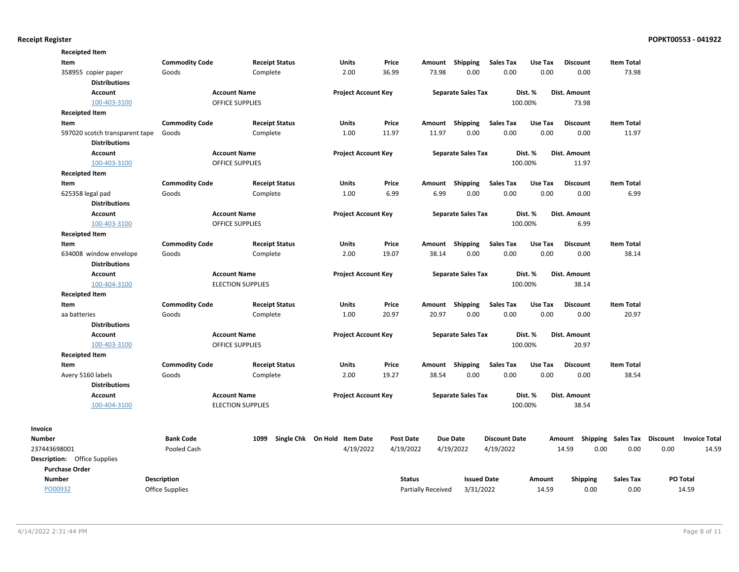| <b>Receipted Item</b>               |                        |                          |                              |                  |                    |                           |                      |         |                     |                                    |      |                      |
|-------------------------------------|------------------------|--------------------------|------------------------------|------------------|--------------------|---------------------------|----------------------|---------|---------------------|------------------------------------|------|----------------------|
| Item                                | <b>Commodity Code</b>  | <b>Receipt Status</b>    | <b>Units</b>                 | Price            | Amount             | Shipping                  | <b>Sales Tax</b>     | Use Tax | <b>Discount</b>     | <b>Item Total</b>                  |      |                      |
| 358955 copier paper                 | Goods                  | Complete                 | 2.00                         | 36.99            | 73.98              | 0.00                      | 0.00                 | 0.00    | 0.00                | 73.98                              |      |                      |
| <b>Distributions</b>                |                        |                          |                              |                  |                    |                           |                      |         |                     |                                    |      |                      |
| <b>Account</b>                      |                        | <b>Account Name</b>      | <b>Project Account Key</b>   |                  |                    | <b>Separate Sales Tax</b> |                      | Dist. % | <b>Dist. Amount</b> |                                    |      |                      |
| 100-403-3100                        |                        | <b>OFFICE SUPPLIES</b>   |                              |                  |                    |                           |                      | 100.00% | 73.98               |                                    |      |                      |
| <b>Receipted Item</b>               |                        |                          |                              |                  |                    |                           |                      |         |                     |                                    |      |                      |
| Item                                | <b>Commodity Code</b>  | <b>Receipt Status</b>    | Units                        | Price            | Amount             | Shipping                  | <b>Sales Tax</b>     | Use Tax | <b>Discount</b>     | <b>Item Total</b>                  |      |                      |
| 597020 scotch transparent tape      | Goods                  | Complete                 | 1.00                         | 11.97            | 11.97              | 0.00                      | 0.00                 | 0.00    | 0.00                | 11.97                              |      |                      |
| <b>Distributions</b>                |                        |                          |                              |                  |                    |                           |                      |         |                     |                                    |      |                      |
| <b>Account</b>                      |                        | <b>Account Name</b>      | <b>Project Account Key</b>   |                  |                    | <b>Separate Sales Tax</b> |                      | Dist. % | Dist. Amount        |                                    |      |                      |
| 100-403-3100                        |                        | <b>OFFICE SUPPLIES</b>   |                              |                  |                    |                           |                      | 100.00% | 11.97               |                                    |      |                      |
| <b>Receipted Item</b>               |                        |                          |                              |                  |                    |                           |                      |         |                     |                                    |      |                      |
| Item                                | <b>Commodity Code</b>  | <b>Receipt Status</b>    | <b>Units</b>                 | Price            | Amount             | Shipping                  | <b>Sales Tax</b>     | Use Tax | <b>Discount</b>     | <b>Item Total</b>                  |      |                      |
| 625358 legal pad                    | Goods                  | Complete                 | 1.00                         | 6.99             | 6.99               | 0.00                      | 0.00                 | 0.00    | 0.00                | 6.99                               |      |                      |
| <b>Distributions</b>                |                        |                          |                              |                  |                    |                           |                      |         |                     |                                    |      |                      |
| <b>Account</b>                      |                        | <b>Account Name</b>      | <b>Project Account Key</b>   |                  |                    | <b>Separate Sales Tax</b> |                      | Dist. % | Dist. Amount        |                                    |      |                      |
| 100-403-3100                        |                        | <b>OFFICE SUPPLIES</b>   |                              |                  |                    |                           |                      | 100.00% | 6.99                |                                    |      |                      |
| <b>Receipted Item</b>               |                        |                          |                              |                  |                    |                           |                      |         |                     |                                    |      |                      |
| Item                                | <b>Commodity Code</b>  | <b>Receipt Status</b>    | Units                        | Price            |                    | Amount Shipping           | <b>Sales Tax</b>     | Use Tax | <b>Discount</b>     | <b>Item Total</b>                  |      |                      |
| 634008 window envelope              | Goods                  | Complete                 | 2.00                         | 19.07            | 38.14              | 0.00                      | 0.00                 | 0.00    | 0.00                | 38.14                              |      |                      |
| <b>Distributions</b>                |                        |                          |                              |                  |                    |                           |                      |         |                     |                                    |      |                      |
| <b>Account</b>                      |                        | <b>Account Name</b>      | <b>Project Account Key</b>   |                  |                    | <b>Separate Sales Tax</b> |                      | Dist. % | Dist. Amount        |                                    |      |                      |
| 100-404-3100                        |                        | <b>ELECTION SUPPLIES</b> |                              |                  |                    |                           |                      | 100.00% | 38.14               |                                    |      |                      |
| <b>Receipted Item</b>               |                        |                          |                              |                  |                    |                           |                      |         |                     |                                    |      |                      |
| Item                                | <b>Commodity Code</b>  | <b>Receipt Status</b>    | <b>Units</b>                 | Price            |                    | Amount Shipping           | <b>Sales Tax</b>     | Use Tax | <b>Discount</b>     | <b>Item Total</b>                  |      |                      |
| aa batteries                        | Goods                  | Complete                 | 1.00                         | 20.97            | 20.97              | 0.00                      | 0.00                 | 0.00    | 0.00                | 20.97                              |      |                      |
| <b>Distributions</b>                |                        |                          |                              |                  |                    |                           |                      |         |                     |                                    |      |                      |
| <b>Account</b>                      |                        | <b>Account Name</b>      | <b>Project Account Key</b>   |                  |                    | <b>Separate Sales Tax</b> |                      | Dist. % | Dist. Amount        |                                    |      |                      |
| 100-403-3100                        |                        | OFFICE SUPPLIES          |                              |                  |                    |                           |                      | 100.00% | 20.97               |                                    |      |                      |
| <b>Receipted Item</b>               |                        |                          |                              |                  |                    |                           |                      |         |                     |                                    |      |                      |
| Item                                | <b>Commodity Code</b>  | <b>Receipt Status</b>    | Units                        | Price            |                    | Amount Shipping           | <b>Sales Tax</b>     | Use Tax | <b>Discount</b>     | <b>Item Total</b>                  |      |                      |
| Avery 5160 labels                   | Goods                  | Complete                 | 2.00                         | 19.27            | 38.54              | 0.00                      | 0.00                 | 0.00    | 0.00                | 38.54                              |      |                      |
| <b>Distributions</b>                |                        |                          |                              |                  |                    |                           |                      |         |                     |                                    |      |                      |
| <b>Account</b>                      |                        | <b>Account Name</b>      | <b>Project Account Key</b>   |                  |                    | <b>Separate Sales Tax</b> |                      | Dist. % | Dist. Amount        |                                    |      |                      |
| 100-404-3100                        |                        | <b>ELECTION SUPPLIES</b> |                              |                  |                    |                           |                      | 100.00% | 38.54               |                                    |      |                      |
|                                     |                        |                          |                              |                  |                    |                           |                      |         |                     |                                    |      |                      |
| <b>Number</b>                       | <b>Bank Code</b>       | 1099                     | Single Chk On Hold Item Date | <b>Post Date</b> |                    | <b>Due Date</b>           | <b>Discount Date</b> |         |                     | Amount Shipping Sales Tax Discount |      | <b>Invoice Total</b> |
| 237443698001                        | Pooled Cash            |                          | 4/19/2022                    | 4/19/2022        |                    | 4/19/2022                 | 4/19/2022            |         | 14.59<br>0.00       | 0.00                               | 0.00 | 14.59                |
| <b>Description:</b> Office Supplies |                        |                          |                              |                  |                    |                           |                      |         |                     |                                    |      |                      |
| <b>Purchase Order</b>               |                        |                          |                              |                  |                    |                           |                      |         |                     |                                    |      |                      |
| <b>Number</b>                       | Description            |                          |                              | <b>Status</b>    |                    | <b>Issued Date</b>        |                      | Amount  | <b>Shipping</b>     | <b>Sales Tax</b>                   |      | PO Total             |
| PO00932                             | <b>Office Supplies</b> |                          |                              |                  | Partially Received | 3/31/2022                 |                      | 14.59   | 0.00                | 0.00                               |      | 14.59                |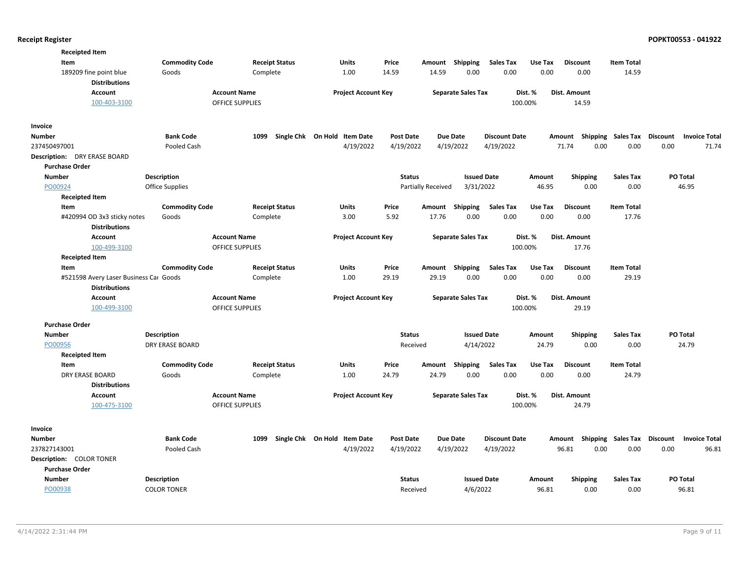| <b>Receipted Item</b>                          |                        |                                               |                              |                  |                           |                           |                      |         |                                    |                   |                      |
|------------------------------------------------|------------------------|-----------------------------------------------|------------------------------|------------------|---------------------------|---------------------------|----------------------|---------|------------------------------------|-------------------|----------------------|
| Item                                           | <b>Commodity Code</b>  | <b>Receipt Status</b>                         | Units                        | Price            | Amount                    | <b>Shipping</b>           | <b>Sales Tax</b>     | Use Tax | <b>Discount</b>                    | <b>Item Total</b> |                      |
| 189209 fine point blue                         | Goods                  | Complete                                      | 1.00                         | 14.59            | 14.59                     | 0.00                      | 0.00                 | 0.00    | 0.00                               | 14.59             |                      |
| <b>Distributions</b>                           |                        |                                               |                              |                  |                           |                           |                      |         |                                    |                   |                      |
| Account                                        |                        | <b>Account Name</b>                           | <b>Project Account Key</b>   |                  |                           | <b>Separate Sales Tax</b> |                      | Dist. % | Dist. Amount                       |                   |                      |
| 100-403-3100                                   |                        | <b>OFFICE SUPPLIES</b>                        |                              |                  |                           |                           |                      | 100.00% | 14.59                              |                   |                      |
| Invoice                                        |                        |                                               |                              |                  |                           |                           |                      |         |                                    |                   |                      |
| <b>Number</b>                                  | <b>Bank Code</b>       | 1099                                          | Single Chk On Hold Item Date | <b>Post Date</b> |                           | <b>Due Date</b>           | <b>Discount Date</b> |         | Amount Shipping Sales Tax Discount |                   | <b>Invoice Total</b> |
| 237450497001                                   | Pooled Cash            |                                               | 4/19/2022                    | 4/19/2022        |                           | 4/19/2022                 | 4/19/2022            |         | 71.74<br>0.00                      | 0.00              | 0.00<br>71.74        |
| <b>Description:</b> DRY ERASE BOARD            |                        |                                               |                              |                  |                           |                           |                      |         |                                    |                   |                      |
| <b>Purchase Order</b>                          |                        |                                               |                              |                  |                           |                           |                      |         |                                    |                   |                      |
| <b>Number</b>                                  | Description            |                                               |                              | <b>Status</b>    |                           | <b>Issued Date</b>        |                      | Amount  | <b>Shipping</b>                    | <b>Sales Tax</b>  | PO Total             |
| PO00924                                        | <b>Office Supplies</b> |                                               |                              |                  | <b>Partially Received</b> | 3/31/2022                 |                      | 46.95   | 0.00                               | 0.00              | 46.95                |
| <b>Receipted Item</b>                          |                        |                                               |                              |                  |                           |                           |                      |         |                                    |                   |                      |
| Item                                           | <b>Commodity Code</b>  | <b>Receipt Status</b>                         | Units                        | Price            | Amount                    | Shipping                  | <b>Sales Tax</b>     | Use Tax | <b>Discount</b>                    | <b>Item Total</b> |                      |
| #420994 OD 3x3 sticky notes                    | Goods                  | Complete                                      | 3.00                         | 5.92             | 17.76                     | 0.00                      | 0.00                 | 0.00    | 0.00                               | 17.76             |                      |
| <b>Distributions</b>                           |                        |                                               |                              |                  |                           |                           |                      |         |                                    |                   |                      |
| Account                                        |                        | <b>Account Name</b>                           | <b>Project Account Key</b>   |                  |                           | <b>Separate Sales Tax</b> |                      | Dist. % | <b>Dist. Amount</b>                |                   |                      |
| 100-499-3100                                   |                        | OFFICE SUPPLIES                               |                              |                  |                           |                           |                      | 100.00% | 17.76                              |                   |                      |
| <b>Receipted Item</b>                          |                        |                                               |                              |                  |                           |                           |                      |         |                                    |                   |                      |
| Item                                           | <b>Commodity Code</b>  | <b>Receipt Status</b>                         | <b>Units</b>                 | Price            |                           | Amount Shipping           | <b>Sales Tax</b>     | Use Tax | <b>Discount</b>                    | <b>Item Total</b> |                      |
| #521598 Avery Laser Business Car Goods         |                        | Complete                                      | 1.00                         | 29.19            | 29.19                     | 0.00                      | 0.00                 | 0.00    | 0.00                               | 29.19             |                      |
| <b>Distributions</b>                           |                        |                                               |                              |                  |                           |                           |                      |         |                                    |                   |                      |
| Account<br>100-499-3100                        |                        | <b>Account Name</b><br><b>OFFICE SUPPLIES</b> | <b>Project Account Key</b>   |                  |                           | <b>Separate Sales Tax</b> |                      | Dist. % | Dist. Amount                       |                   |                      |
|                                                |                        |                                               |                              |                  |                           |                           |                      | 100.00% | 29.19                              |                   |                      |
| <b>Purchase Order</b>                          |                        |                                               |                              |                  |                           |                           |                      |         |                                    |                   |                      |
| <b>Number</b>                                  | <b>Description</b>     |                                               |                              | <b>Status</b>    |                           | <b>Issued Date</b>        |                      | Amount  | <b>Shipping</b>                    | <b>Sales Tax</b>  | PO Total             |
| PO00956                                        | <b>DRY ERASE BOARD</b> |                                               |                              | Received         |                           | 4/14/2022                 |                      | 24.79   | 0.00                               | 0.00              | 24.79                |
| <b>Receipted Item</b>                          |                        |                                               |                              |                  |                           |                           |                      |         |                                    |                   |                      |
| Item                                           | <b>Commodity Code</b>  | <b>Receipt Status</b>                         | Units                        | Price            | Amount                    | <b>Shipping</b>           | <b>Sales Tax</b>     | Use Tax | <b>Discount</b>                    | <b>Item Total</b> |                      |
| <b>DRY ERASE BOARD</b><br><b>Distributions</b> | Goods                  | Complete                                      | 1.00                         | 24.79            | 24.79                     | 0.00                      | 0.00                 | 0.00    | 0.00                               | 24.79             |                      |
| Account                                        |                        | <b>Account Name</b>                           |                              |                  |                           | <b>Separate Sales Tax</b> |                      | Dist. % | Dist. Amount                       |                   |                      |
| 100-475-3100                                   |                        | <b>OFFICE SUPPLIES</b>                        | <b>Project Account Key</b>   |                  |                           |                           |                      | 100.00% | 24.79                              |                   |                      |
|                                                |                        |                                               |                              |                  |                           |                           |                      |         |                                    |                   |                      |
| Invoice                                        |                        |                                               |                              |                  |                           |                           |                      |         |                                    |                   |                      |
| <b>Number</b>                                  | <b>Bank Code</b>       | 1099                                          | Single Chk On Hold Item Date | <b>Post Date</b> |                           | <b>Due Date</b>           | <b>Discount Date</b> |         | Amount Shipping Sales Tax Discount |                   | <b>Invoice Total</b> |
| 237827143001                                   | Pooled Cash            |                                               | 4/19/2022                    | 4/19/2022        |                           | 4/19/2022                 | 4/19/2022            |         | 0.00<br>96.81                      | 0.00              | 0.00<br>96.81        |
| <b>Description: COLOR TONER</b>                |                        |                                               |                              |                  |                           |                           |                      |         |                                    |                   |                      |
| <b>Purchase Order</b>                          |                        |                                               |                              |                  |                           |                           |                      |         |                                    |                   |                      |
| <b>Number</b>                                  | Description            |                                               |                              | <b>Status</b>    |                           | <b>Issued Date</b>        |                      | Amount  | <b>Shipping</b>                    | <b>Sales Tax</b>  | PO Total             |
| PO00938                                        | <b>COLOR TONER</b>     |                                               |                              | Received         |                           | 4/6/2022                  |                      | 96.81   | 0.00                               | 0.00              | 96.81                |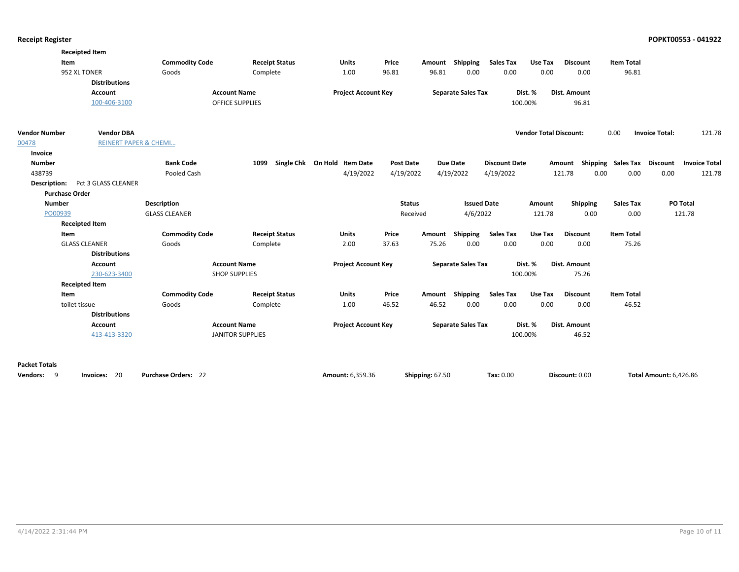|                       | <b>Receipted Item</b>            |                            |                         |                              |                  |                 |                           |                      |                               |                                    |                   |                               |                      |
|-----------------------|----------------------------------|----------------------------|-------------------------|------------------------------|------------------|-----------------|---------------------------|----------------------|-------------------------------|------------------------------------|-------------------|-------------------------------|----------------------|
|                       | Item                             | <b>Commodity Code</b>      | <b>Receipt Status</b>   | <b>Units</b>                 | Price            | Amount          | <b>Shipping</b>           | <b>Sales Tax</b>     | Use Tax                       | <b>Discount</b>                    | <b>Item Total</b> |                               |                      |
|                       | 952 XL TONER                     | Goods                      | Complete                | 1.00                         | 96.81            | 96.81           | 0.00                      | 0.00                 | 0.00                          | 0.00                               | 96.81             |                               |                      |
|                       | <b>Distributions</b>             |                            |                         |                              |                  |                 |                           |                      |                               |                                    |                   |                               |                      |
|                       | Account                          |                            | <b>Account Name</b>     | <b>Project Account Key</b>   |                  |                 | <b>Separate Sales Tax</b> |                      | Dist. %                       | <b>Dist. Amount</b>                |                   |                               |                      |
|                       | 100-406-3100                     |                            | OFFICE SUPPLIES         |                              |                  |                 |                           |                      | 100.00%                       | 96.81                              |                   |                               |                      |
| <b>Vendor Number</b>  | <b>Vendor DBA</b>                |                            |                         |                              |                  |                 |                           |                      | <b>Vendor Total Discount:</b> |                                    | 0.00              | <b>Invoice Total:</b>         | 121.78               |
| 00478                 | <b>REINERT PAPER &amp; CHEMI</b> |                            |                         |                              |                  |                 |                           |                      |                               |                                    |                   |                               |                      |
| Invoice               |                                  |                            |                         |                              |                  |                 |                           |                      |                               |                                    |                   |                               |                      |
| <b>Number</b>         |                                  | <b>Bank Code</b>           | 1099                    | Single Chk On Hold Item Date | <b>Post Date</b> |                 | Due Date                  | <b>Discount Date</b> |                               | Amount Shipping Sales Tax Discount |                   |                               | <b>Invoice Total</b> |
| 438739                |                                  | Pooled Cash                |                         | 4/19/2022                    | 4/19/2022        |                 | 4/19/2022                 | 4/19/2022            |                               | 121.78<br>0.00                     | 0.00              | 0.00                          | 121.78               |
| Description:          | Pct 3 GLASS CLEANER              |                            |                         |                              |                  |                 |                           |                      |                               |                                    |                   |                               |                      |
|                       | <b>Purchase Order</b>            |                            |                         |                              |                  |                 |                           |                      |                               |                                    |                   |                               |                      |
| <b>Number</b>         |                                  | <b>Description</b>         |                         |                              |                  | <b>Status</b>   | <b>Issued Date</b>        |                      | Amount                        | <b>Shipping</b>                    | <b>Sales Tax</b>  |                               | <b>PO Total</b>      |
| PO00939               |                                  | <b>GLASS CLEANER</b>       |                         |                              |                  | Received        | 4/6/2022                  |                      | 121.78                        | 0.00                               | 0.00              |                               | 121.78               |
|                       | <b>Receipted Item</b>            |                            |                         |                              |                  |                 |                           |                      |                               |                                    |                   |                               |                      |
|                       | Item                             | <b>Commodity Code</b>      | <b>Receipt Status</b>   | <b>Units</b>                 | Price            | Amount          | <b>Shipping</b>           | <b>Sales Tax</b>     | Use Tax                       | <b>Discount</b>                    | <b>Item Total</b> |                               |                      |
|                       | <b>GLASS CLEANER</b>             | Goods                      | Complete                | 2.00                         | 37.63            | 75.26           | 0.00                      | 0.00                 | 0.00                          | 0.00                               | 75.26             |                               |                      |
|                       | <b>Distributions</b>             |                            |                         |                              |                  |                 |                           |                      |                               |                                    |                   |                               |                      |
|                       | Account                          |                            | <b>Account Name</b>     | <b>Project Account Key</b>   |                  |                 | <b>Separate Sales Tax</b> |                      | Dist. %                       | Dist. Amount                       |                   |                               |                      |
|                       | 230-623-3400                     |                            | <b>SHOP SUPPLIES</b>    |                              |                  |                 |                           |                      | 100.00%                       | 75.26                              |                   |                               |                      |
|                       | <b>Receipted Item</b>            |                            |                         |                              |                  |                 |                           |                      |                               |                                    |                   |                               |                      |
|                       | Item                             | <b>Commodity Code</b>      | <b>Receipt Status</b>   | <b>Units</b>                 | Price            |                 | Amount Shipping           | <b>Sales Tax</b>     | Use Tax                       | <b>Discount</b>                    | <b>Item Total</b> |                               |                      |
|                       | toilet tissue                    | Goods                      | Complete                | 1.00                         | 46.52            | 46.52           | 0.00                      | 0.00                 | 0.00                          | 0.00                               | 46.52             |                               |                      |
|                       | <b>Distributions</b>             |                            |                         |                              |                  |                 |                           |                      |                               |                                    |                   |                               |                      |
|                       | Account                          |                            | <b>Account Name</b>     | <b>Project Account Key</b>   |                  |                 | <b>Separate Sales Tax</b> |                      | Dist. %                       | <b>Dist. Amount</b>                |                   |                               |                      |
|                       | 413-413-3320                     |                            | <b>JANITOR SUPPLIES</b> |                              |                  |                 |                           |                      | 100.00%                       | 46.52                              |                   |                               |                      |
| <b>Packet Totals</b>  |                                  |                            |                         |                              |                  |                 |                           |                      |                               |                                    |                   |                               |                      |
| -9<br><b>Vendors:</b> | Invoices: 20                     | <b>Purchase Orders: 22</b> |                         | Amount: 6,359.36             |                  | Shipping: 67.50 |                           | Tax: 0.00            |                               | Discount: 0.00                     |                   | <b>Total Amount: 6,426.86</b> |                      |